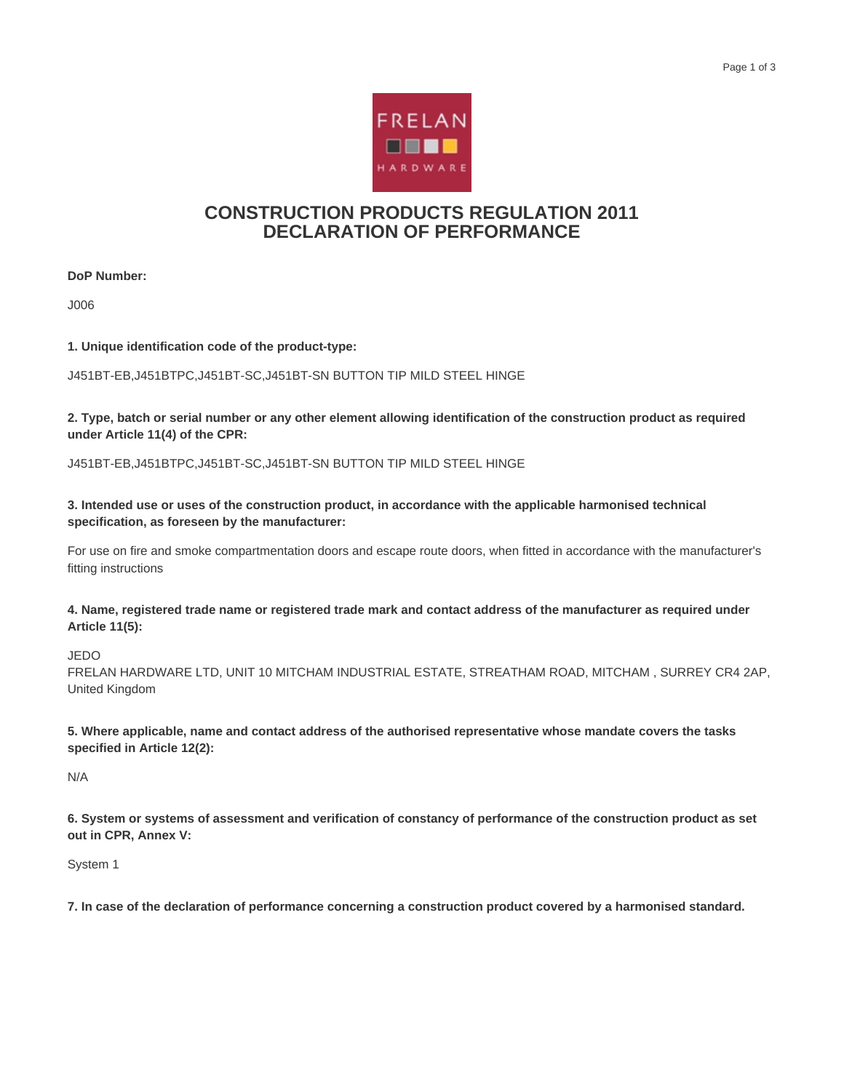

## **CONSTRUCTION PRODUCTS REGULATION 2011 DECLARATION OF PERFORMANCE**

**DoP Number:**

J006

**1. Unique identification code of the product-type:**

J451BT-EB,J451BTPC,J451BT-SC,J451BT-SN BUTTON TIP MILD STEEL HINGE

**2. Type, batch or serial number or any other element allowing identification of the construction product as required under Article 11(4) of the CPR:**

J451BT-EB,J451BTPC,J451BT-SC,J451BT-SN BUTTON TIP MILD STEEL HINGE

**3. Intended use or uses of the construction product, in accordance with the applicable harmonised technical specification, as foreseen by the manufacturer:**

For use on fire and smoke compartmentation doors and escape route doors, when fitted in accordance with the manufacturer's fitting instructions

**4. Name, registered trade name or registered trade mark and contact address of the manufacturer as required under Article 11(5):**

JEDO

FRELAN HARDWARE LTD, UNIT 10 MITCHAM INDUSTRIAL ESTATE, STREATHAM ROAD, MITCHAM , SURREY CR4 2AP, United Kingdom

**5. Where applicable, name and contact address of the authorised representative whose mandate covers the tasks specified in Article 12(2):**

N/A

**6. System or systems of assessment and verification of constancy of performance of the construction product as set out in CPR, Annex V:**

System 1

**7. In case of the declaration of performance concerning a construction product covered by a harmonised standard.**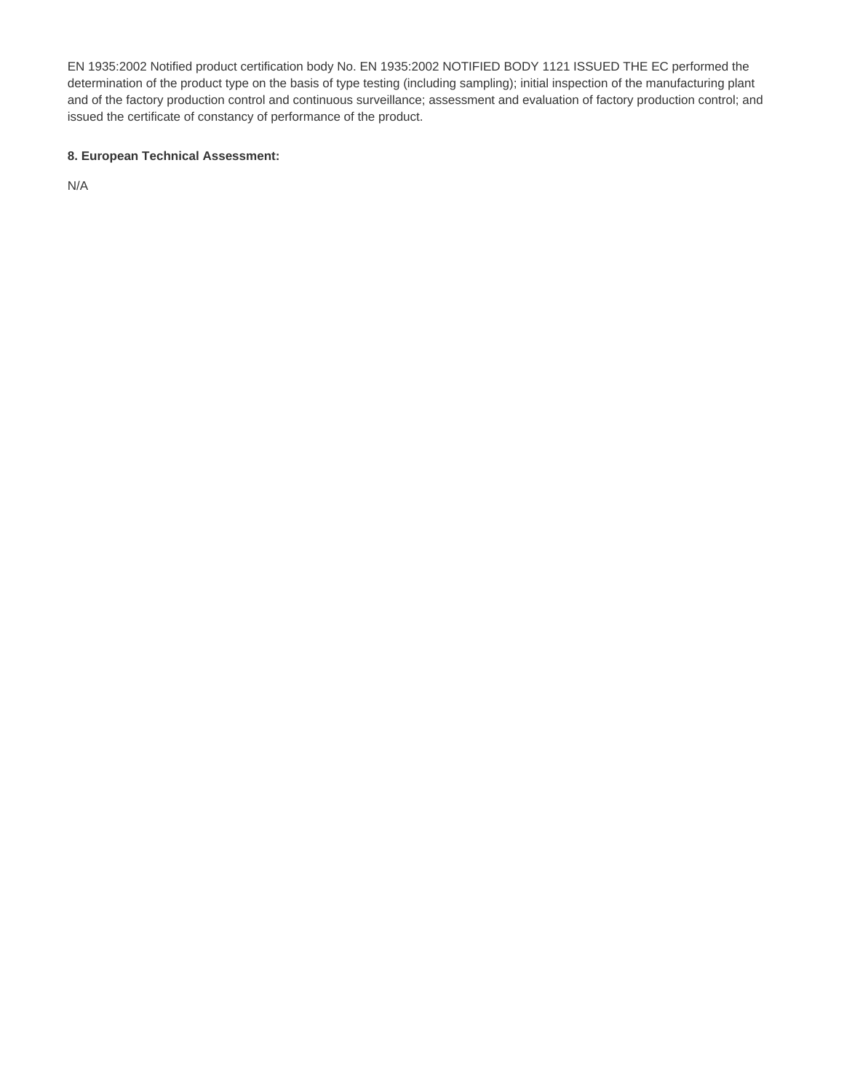EN 1935:2002 Notified product certification body No. EN 1935:2002 NOTIFIED BODY 1121 ISSUED THE EC performed the determination of the product type on the basis of type testing (including sampling); initial inspection of the manufacturing plant and of the factory production control and continuous surveillance; assessment and evaluation of factory production control; and issued the certificate of constancy of performance of the product.

## **8. European Technical Assessment:**

N/A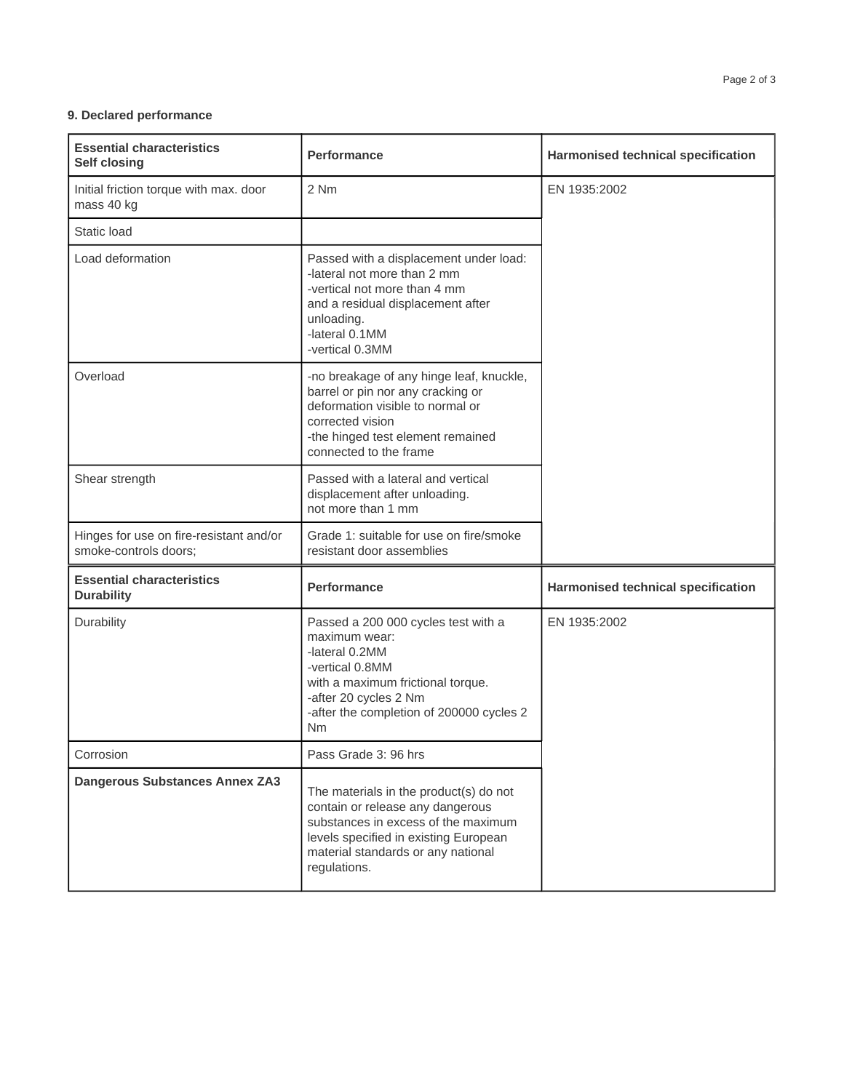## **9. Declared performance**

| <b>Essential characteristics</b><br><b>Self closing</b>          | <b>Performance</b>                                                                                                                                                                                               | Harmonised technical specification        |
|------------------------------------------------------------------|------------------------------------------------------------------------------------------------------------------------------------------------------------------------------------------------------------------|-------------------------------------------|
| Initial friction torque with max. door<br>mass 40 kg             | 2 Nm                                                                                                                                                                                                             | EN 1935:2002                              |
| Static load                                                      |                                                                                                                                                                                                                  |                                           |
| Load deformation                                                 | Passed with a displacement under load:<br>-lateral not more than 2 mm<br>-vertical not more than 4 mm<br>and a residual displacement after<br>unloading.<br>-lateral 0.1MM<br>-vertical 0.3MM                    |                                           |
| Overload                                                         | -no breakage of any hinge leaf, knuckle,<br>barrel or pin nor any cracking or<br>deformation visible to normal or<br>corrected vision<br>-the hinged test element remained<br>connected to the frame             |                                           |
| Shear strength                                                   | Passed with a lateral and vertical<br>displacement after unloading.<br>not more than 1 mm                                                                                                                        |                                           |
| Hinges for use on fire-resistant and/or<br>smoke-controls doors; | Grade 1: suitable for use on fire/smoke<br>resistant door assemblies                                                                                                                                             |                                           |
| <b>Essential characteristics</b><br><b>Durability</b>            | <b>Performance</b>                                                                                                                                                                                               | <b>Harmonised technical specification</b> |
| Durability                                                       | Passed a 200 000 cycles test with a<br>maximum wear:<br>-lateral 0.2MM<br>-vertical 0.8MM<br>with a maximum frictional torque.<br>-after 20 cycles 2 Nm<br>-after the completion of 200000 cycles 2<br><b>Nm</b> | EN 1935:2002                              |
| Corrosion                                                        | Pass Grade 3: 96 hrs                                                                                                                                                                                             |                                           |
| <b>Dangerous Substances Annex ZA3</b>                            | The materials in the product(s) do not<br>contain or release any dangerous<br>substances in excess of the maximum<br>levels specified in existing European<br>material standards or any national<br>regulations. |                                           |